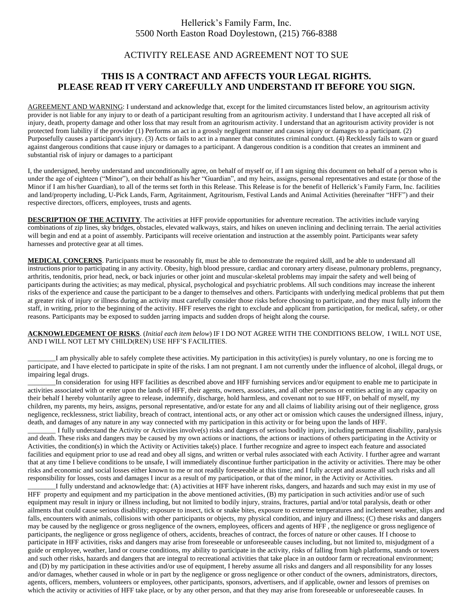## Hellerick's Family Farm, Inc. 5500 North Easton Road Doylestown, (215) 766-8388

## ACTIVITY RELEASE AND AGREEMENT NOT TO SUE

# **THIS IS A CONTRACT AND AFFECTS YOUR LEGAL RIGHTS. PLEASE READ IT VERY CAREFULLY AND UNDERSTAND IT BEFORE YOU SIGN.**

AGREEMENT AND WARNING: I understand and acknowledge that, except for the limited circumstances listed below, an agritourism activity provider is not liable for any injury to or death of a participant resulting from an agritourism activity. I understand that I have accepted all risk of injury, death, property damage and other loss that may result from an agritourism activity. I understand that an agritourism activity provider is not protected from liability if the provider (1) Performs an act in a grossly negligent manner and causes injury or damages to a participant. (2) Purposefully causes a participant's injury. (3) Acts or fails to act in a manner that constitutes criminal conduct. (4) Recklessly fails to warn or guard against dangerous conditions that cause injury or damages to a participant. A dangerous condition is a condition that creates an imminent and substantial risk of injury or damages to a participant

I, the undersigned, hereby understand and unconditionally agree, on behalf of myself or, if I am signing this document on behalf of a person who is under the age of eighteen ("Minor"), on their behalf as his/her "Guardian", and my heirs, assigns, personal representatives and estate (or those of the Minor if I am his/her Guardian), to all of the terms set forth in this Release. This Release is for the benefit of Hellerick's Family Farm, Inc. facilities and land/property including, U-Pick Lands, Farm, Agritainment, Agritourism, Festival Lands and Animal Activities (hereinafter "HFF") and their respective directors, officers, employees, trusts and agents.

**DESCRIPTION OF THE ACTIVITY**. The activities at HFF provide opportunities for adventure recreation. The activities include varying combinations of zip lines, sky bridges, obstacles, elevated walkways, stairs, and hikes on uneven inclining and declining terrain. The aerial activities will begin and end at a point of assembly. Participants will receive orientation and instruction at the assembly point. Participants wear safety harnesses and protective gear at all times.

**MEDICAL CONCERNS**. Participants must be reasonably fit, must be able to demonstrate the required skill, and be able to understand all instructions prior to participating in any activity. Obesity, high blood pressure, cardiac and coronary artery disease, pulmonary problems, pregnancy, arthritis, tendonitis, prior head, neck, or back injuries or other joint and muscular-skeletal problems may impair the safety and well being of participants during the activities; as may medical, physical, psychological and psychiatric problems. All such conditions may increase the inherent risks of the experience and cause the participant to be a danger to themselves and others. Participants with underlying medical problems that put them at greater risk of injury or illness during an activity must carefully consider those risks before choosing to participate, and they must fully inform the staff, in writing, prior to the beginning of the activity. HFF reserves the right to exclude and applicant from participation, for medical, safety, or other reasons. Participants may be exposed to sudden jarring impacts and sudden drops of height along the course.

### **ACKNOWLEDGEMENT OF RISKS**. (*Initial each item below*) IF I DO NOT AGREE WITH THE CONDITIONS BELOW, I WILL NOT USE, AND I WILL NOT LET MY CHILD(REN) USE HFF'S FACILITIES.

\_\_\_\_\_\_\_\_I am physically able to safely complete these activities. My participation in this activity(ies) is purely voluntary, no one is forcing me to participate, and I have elected to participate in spite of the risks. I am not pregnant. I am not currently under the influence of alcohol, illegal drugs, or impairing legal drugs.

In consideration for using HFF facilities as described above and HFF furnishing services and/or equipment to enable me to participate in activities associated with or enter upon the lands of HFF, their agents, owners, associates, and all other persons or entities acting in any capacity on their behalf I hereby voluntarily agree to release, indemnify, discharge, hold harmless, and covenant not to sue HFF, on behalf of myself, my children, my parents, my heirs, assigns, personal representative, and/or estate for any and all claims of liability arising out of their negligence, gross negligence, recklessness, strict liability, breach of contract, intentional acts, or any other act or omission which causes the undersigned illness, injury, death, and damages of any nature in any way connected with my participation in this activity or for being upon the lands of HFF.

\_\_\_\_\_\_\_\_ I fully understand the Activity or Activities involve(s) risks and dangers of serious bodily injury, including permanent disability, paralysis and death. These risks and dangers may be caused by my own actions or inactions, the actions or inactions of others participating in the Activity or Activities, the condition(s) in which the Activity or Activities take(s) place. I further recognize and agree to inspect each feature and associated facilities and equipment prior to use ad read and obey all signs, and written or verbal rules associated with each Activity. I further agree and warrant that at any time I believe conditions to be unsafe, I will immediately discontinue further participation in the activity or activities. There may be other risks and economic and social losses either known to me or not readily foreseeable at this time; and I fully accept and assume all such risks and all responsibility for losses, costs and damages I incur as a result of my participation, or that of the minor, in the Activity or Activities.

I fully understand and acknowledge that: (A) activities at HFF have inherent risks, dangers, and hazards and such may exist in my use of HFF property and equipment and my participation in the above mentioned activities, (B) my participation in such activities and/or use of such equipment may result in injury or illness including, but not limited to bodily injury, strains, fractures, partial and/or total paralysis, death or other ailments that could cause serious disability; exposure to insect, tick or snake bites, exposure to extreme temperatures and inclement weather, slips and falls, encounters with animals, collisions with other participants or objects, my physical condition, and injury and illness; (C) these risks and dangers may be caused by the negligence or gross negligence of the owners, employees, officers and agents of HFF , the negligence or gross negligence of participants, the negligence or gross negligence of others, accidents, breaches of contract, the forces of nature or other causes. If I choose to participate in HFF activities, risks and dangers may arise from foreseeable or unforeseeable causes including, but not limited to, misjudgment of a guide or employee, weather, land or course conditions, my ability to participate in the activity, risks of falling from high platforms, stands or towers and such other risks, hazards and dangers that are integral to recreational activities that take place in an outdoor farm or recreational environment; and (D) by my participation in these activities and/or use of equipment, I hereby assume all risks and dangers and all responsibility for any losses and/or damages, whether caused in whole or in part by the negligence or gross negligence or other conduct of the owners, administrators, directors, agents, officers, members, volunteers or employees, other participants, sponsors, advertisers, and if applicable, owner and lessors of premises on which the activity or activities of HFF take place, or by any other person, and that they may arise from foreseeable or unforeseeable causes. In